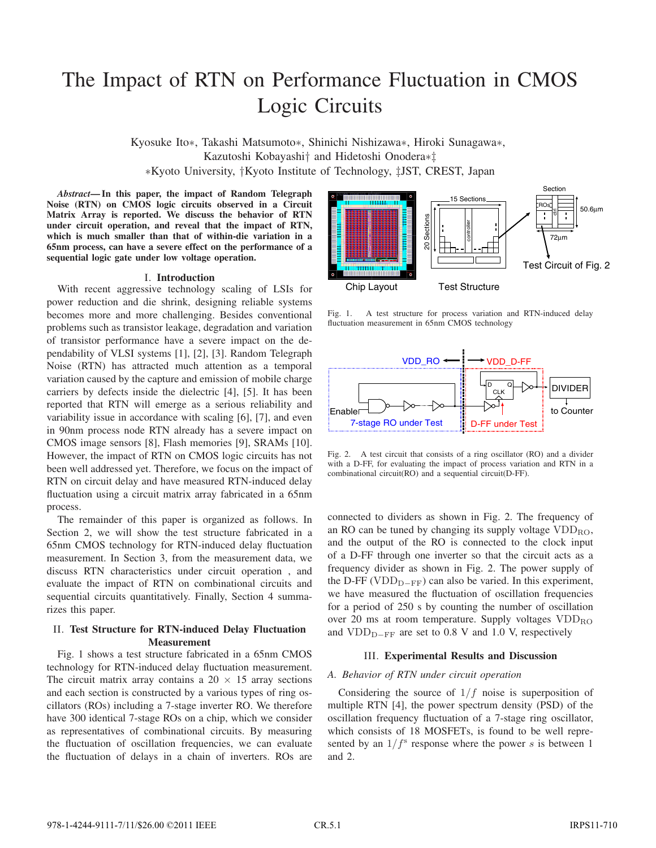# The Impact of RTN on Performance Fluctuation in CMOS Logic Circuits

Kyosuke Ito∗, Takashi Matsumoto∗, Shinichi Nishizawa∗, Hiroki Sunagawa∗, Kazutoshi Kobayashi† and Hidetoshi Onodera∗‡ ∗Kyoto University, †Kyoto Institute of Technology, ‡JST, CREST, Japan

*Abstract***— In this paper, the impact of Random Telegraph Noise (RTN) on CMOS logic circuits observed in a Circuit Matrix Array is reported. We discuss the behavior of RTN under circuit operation, and reveal that the impact of RTN, which is much smaller than that of within-die variation in a 65nm process, can have a severe effect on the performance of a sequential logic gate under low voltage operation.**

## I. **Introduction**

With recent aggressive technology scaling of LSIs for power reduction and die shrink, designing reliable systems becomes more and more challenging. Besides conventional problems such as transistor leakage, degradation and variation of transistor performance have a severe impact on the dependability of VLSI systems [1], [2], [3]. Random Telegraph Noise (RTN) has attracted much attention as a temporal variation caused by the capture and emission of mobile charge carriers by defects inside the dielectric [4], [5]. It has been reported that RTN will emerge as a serious reliability and variability issue in accordance with scaling [6], [7], and even in 90nm process node RTN already has a severe impact on CMOS image sensors [8], Flash memories [9], SRAMs [10]. However, the impact of RTN on CMOS logic circuits has not been well addressed yet. Therefore, we focus on the impact of RTN on circuit delay and have measured RTN-induced delay fluctuation using a circuit matrix array fabricated in a 65nm process.

The remainder of this paper is organized as follows. In Section 2, we will show the test structure fabricated in a 65nm CMOS technology for RTN-induced delay fluctuation measurement. In Section 3, from the measurement data, we discuss RTN characteristics under circuit operation , and evaluate the impact of RTN on combinational circuits and sequential circuits quantitatively. Finally, Section 4 summarizes this paper.

## II. **Test Structure for RTN-induced Delay Fluctuation Measurement**

Fig. 1 shows a test structure fabricated in a 65nm CMOS technology for RTN-induced delay fluctuation measurement. The circuit matrix array contains a  $20 \times 15$  array sections and each section is constructed by a various types of ring oscillators (ROs) including a 7-stage inverter RO. We therefore have 300 identical 7-stage ROs on a chip, which we consider as representatives of combinational circuits. By measuring the fluctuation of oscillation frequencies, we can evaluate the fluctuation of delays in a chain of inverters. ROs are



Fig. 1. A test structure for process variation and RTN-induced delay fluctuation measurement in 65nm CMOS technology



Fig. 2. A test circuit that consists of a ring oscillator (RO) and a divider with a D-FF, for evaluating the impact of process variation and RTN in a combinational circuit(RO) and a sequential circuit(D-FF).

connected to dividers as shown in Fig. 2. The frequency of an RO can be tuned by changing its supply voltage  $VDD_{RO}$ , and the output of the RO is connected to the clock input of a D-FF through one inverter so that the circuit acts as a frequency divider as shown in Fig. 2. The power supply of the D-FF (VDD<sub>D−FF</sub>) can also be varied. In this experiment, we have measured the fluctuation of oscillation frequencies for a period of 250 s by counting the number of oscillation over 20 ms at room temperature. Supply voltages  $VDD_{RO}$ and VDD<sub>D−FF</sub> are set to 0.8 V and 1.0 V, respectively

## III. **Experimental Results and Discussion**

#### *A. Behavior of RTN under circuit operation*

Considering the source of  $1/f$  noise is superposition of multiple RTN [4], the power spectrum density (PSD) of the oscillation frequency fluctuation of a 7-stage ring oscillator, which consists of 18 MOSFETs, is found to be well represented by an  $1/f<sup>s</sup>$  response where the power s is between 1 and 2.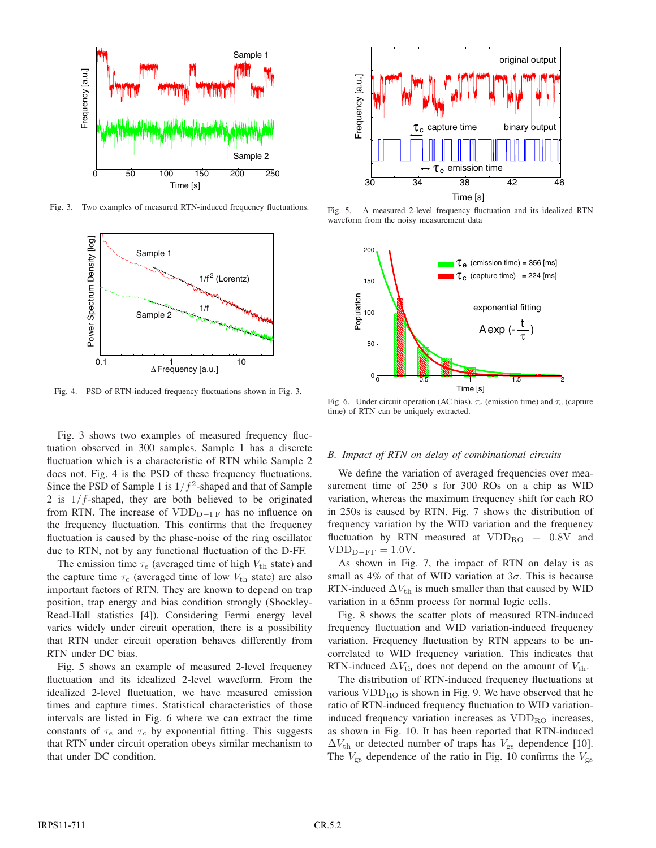

Fig. 3. Two examples of measured RTN-induced frequency fluctuations.



Fig. 4. PSD of RTN-induced frequency fluctuations shown in Fig. 3.

Fig. 3 shows two examples of measured frequency fluctuation observed in 300 samples. Sample 1 has a discrete fluctuation which is a characteristic of RTN while Sample 2 does not. Fig. 4 is the PSD of these frequency fluctuations. Since the PSD of Sample 1 is  $1/f^2$ -shaped and that of Sample 2 is  $1/f$ -shaped, they are both believed to be originated from RTN. The increase of VDD<sub>D−FF</sub> has no influence on the frequency fluctuation. This confirms that the frequency fluctuation is caused by the phase-noise of the ring oscillator due to RTN, not by any functional fluctuation of the D-FF.

The emission time  $\tau_e$  (averaged time of high  $V_{th}$  state) and the capture time  $\tau_c$  (averaged time of low  $V_{th}$  state) are also important factors of RTN. They are known to depend on trap position, trap energy and bias condition strongly (Shockley-Read-Hall statistics [4]). Considering Fermi energy level varies widely under circuit operation, there is a possibility that RTN under circuit operation behaves differently from RTN under DC bias.

Fig. 5 shows an example of measured 2-level frequency fluctuation and its idealized 2-level waveform. From the idealized 2-level fluctuation, we have measured emission times and capture times. Statistical characteristics of those intervals are listed in Fig. 6 where we can extract the time constants of  $\tau_e$  and  $\tau_c$  by exponential fitting. This suggests that RTN under circuit operation obeys similar mechanism to that under DC condition.



Fig. 5. A measured 2-level frequency fluctuation and its idealized RTN waveform from the noisy measurement data



Fig. 6. Under circuit operation (AC bias),  $\tau_e$  (emission time) and  $\tau_c$  (capture time) of RTN can be uniquely extracted.

## *B. Impact of RTN on delay of combinational circuits*

We define the variation of averaged frequencies over measurement time of 250 s for 300 ROs on a chip as WID variation, whereas the maximum frequency shift for each RO in 250s is caused by RTN. Fig. 7 shows the distribution of frequency variation by the WID variation and the frequency fluctuation by RTN measured at  $VDD_{\text{RO}} = 0.8V$  and  $VDD_{D-FF} = 1.0V.$ 

As shown in Fig. 7, the impact of RTN on delay is as small as 4% of that of WID variation at  $3\sigma$ . This is because RTN-induced  $\Delta V_{\text{th}}$  is much smaller than that caused by WID variation in a 65nm process for normal logic cells.

Fig. 8 shows the scatter plots of measured RTN-induced frequency fluctuation and WID variation-induced frequency variation. Frequency fluctuation by RTN appears to be uncorrelated to WID frequency variation. This indicates that RTN-induced  $\Delta V_{\text{th}}$  does not depend on the amount of  $V_{\text{th}}$ .

The distribution of RTN-induced frequency fluctuations at various  $VDD_{RO}$  is shown in Fig. 9. We have observed that he ratio of RTN-induced frequency fluctuation to WID variationinduced frequency variation increases as  $VDD_{RO}$  increases, as shown in Fig. 10. It has been reported that RTN-induced  $\Delta V_{\text{th}}$  or detected number of traps has  $V_{\text{gs}}$  dependence [10]. The  $V_{\rm gs}$  dependence of the ratio in Fig. 10 confirms the  $V_{\rm gs}$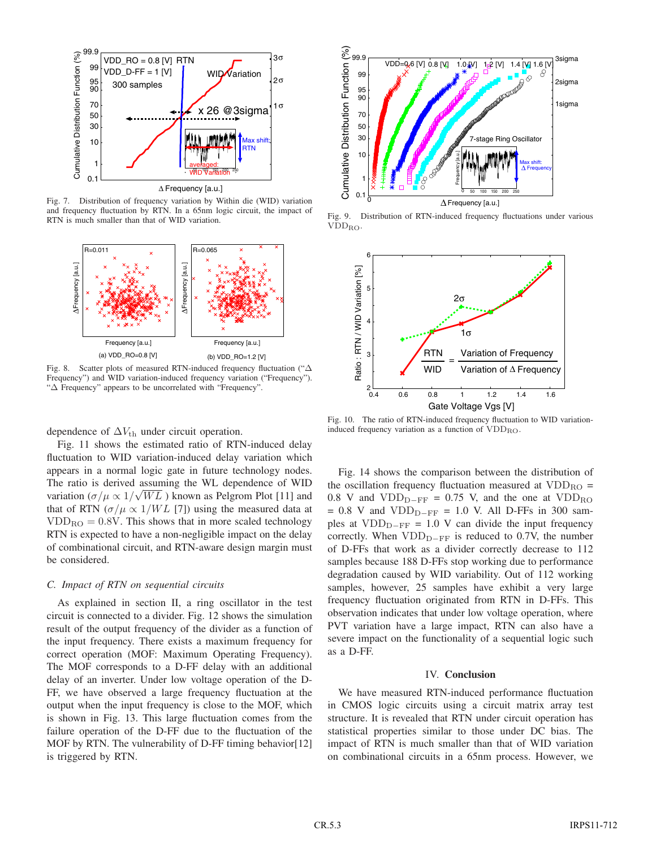

Fig. 7. Distribution of frequency variation by Within die (WID) variation and frequency fluctuation by RTN. In a 65nm logic circuit, the impact of RTN is much smaller than that of WID variation.



Fig. 8. Scatter plots of measured RTN-induced frequency fluctuation ("Δ Frequency") and WID variation-induced frequency variation ("Frequency"). "Δ Frequency" appears to be uncorrelated with "Frequency".

dependence of  $\Delta V_{\text{th}}$  under circuit operation.

Fig. 11 shows the estimated ratio of RTN-induced delay fluctuation to WID variation-induced delay variation which appears in a normal logic gate in future technology nodes. The ratio is derived assuming the WL dependence of WID variation  $(\sigma/\mu \propto 1/\sqrt{WL})$  known as Pelgrom Plot [11] and that of RTN ( $\sigma/\mu \propto 1/WL$  [7]) using the measured data at  $VDD_{\text{RO}} = 0.8V$ . This shows that in more scaled technology RTN is expected to have a non-negligible impact on the delay of combinational circuit, and RTN-aware design margin must be considered.

## *C. Impact of RTN on sequential circuits*

As explained in section II, a ring oscillator in the test circuit is connected to a divider. Fig. 12 shows the simulation result of the output frequency of the divider as a function of the input frequency. There exists a maximum frequency for correct operation (MOF: Maximum Operating Frequency). The MOF corresponds to a D-FF delay with an additional delay of an inverter. Under low voltage operation of the D-FF, we have observed a large frequency fluctuation at the output when the input frequency is close to the MOF, which is shown in Fig. 13. This large fluctuation comes from the failure operation of the D-FF due to the fluctuation of the MOF by RTN. The vulnerability of D-FF timing behavior[12] is triggered by RTN.



Fig. 9. Distribution of RTN-induced frequency fluctuations under various VDDRO.



Fig. 10. The ratio of RTN-induced frequency fluctuation to WID variationinduced frequency variation as a function of  $VDD_{RO}$ .

Fig. 14 shows the comparison between the distribution of the oscillation frequency fluctuation measured at  $VDD_{\text{RO}} =$ 0.8 V and  $VDD<sub>D-FF</sub> = 0.75$  V, and the one at  $VDD<sub>RO</sub>$ = 0.8 V and VDDD*−*FF = 1.0 V. All D-FFs in 300 samples at VDD<sub>D−FF</sub> = 1.0 V can divide the input frequency correctly. When VDD<sub>D−FF</sub> is reduced to 0.7V, the number of D-FFs that work as a divider correctly decrease to 112 samples because 188 D-FFs stop working due to performance degradation caused by WID variability. Out of 112 working samples, however, 25 samples have exhibit a very large frequency fluctuation originated from RTN in D-FFs. This observation indicates that under low voltage operation, where PVT variation have a large impact, RTN can also have a severe impact on the functionality of a sequential logic such as a D-FF.

#### IV. **Conclusion**

We have measured RTN-induced performance fluctuation in CMOS logic circuits using a circuit matrix array test structure. It is revealed that RTN under circuit operation has statistical properties similar to those under DC bias. The impact of RTN is much smaller than that of WID variation on combinational circuits in a 65nm process. However, we